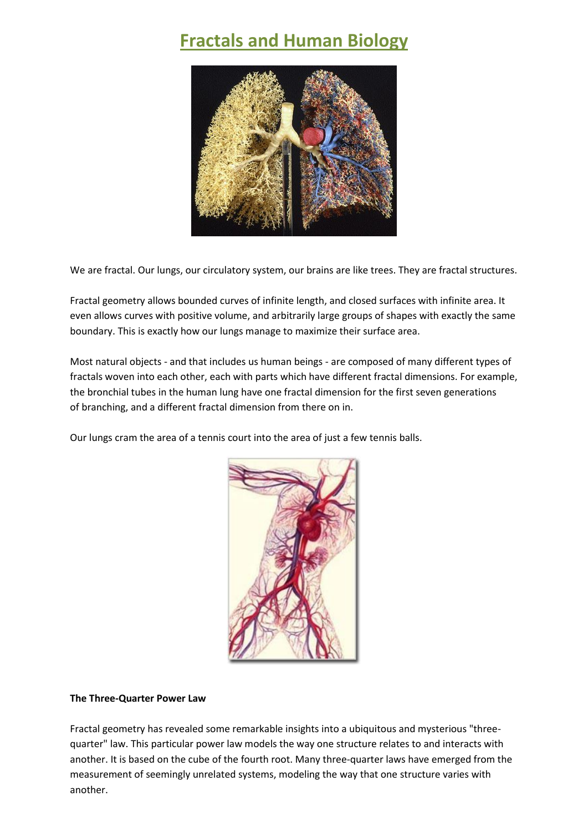# **Fractals and Human Biology**



We are fractal. Our lungs, our circulatory system, our brains are like trees. They are fractal structures.

Fractal geometry allows bounded curves of infinite length, and closed surfaces with infinite area. It even allows curves with positive volume, and arbitrarily large groups of shapes with exactly the same boundary. This is exactly how our lungs manage to maximize their surface area.

Most natural objects - and that includes us human beings - are composed of many different types of fractals woven into each other, each with parts which have different fractal dimensions. For example, the bronchial tubes in the human lung have one fractal dimension for the first seven generations of branching, and a different fractal dimension from there on in.

Our lungs cram the area of a tennis court into the area of just a few tennis balls.



#### **The Three-Quarter Power Law**

Fractal geometry has revealed some remarkable insights into a ubiquitous and mysterious "threequarter" law. This particular power law models the way one structure relates to and interacts with another. It is based on the cube of the fourth root. Many three-quarter laws have emerged from the measurement of seemingly unrelated systems, modeling the way that one structure varies with another.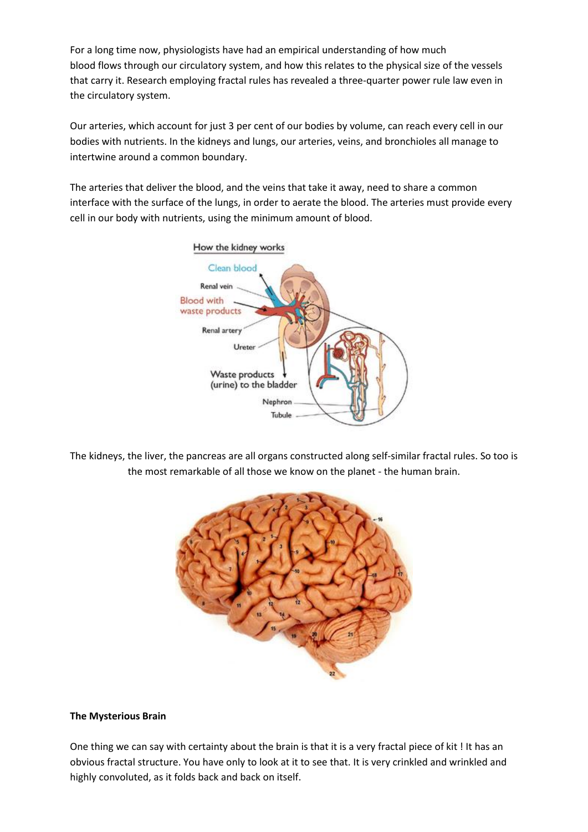For a long time now, physiologists have had an empirical understanding of how much blood flows through our circulatory system, and how this relates to the physical size of the vessels that carry it. Research employing fractal rules has revealed a three-quarter power rule law even in the circulatory system.

Our arteries, which account for just 3 per cent of our bodies by volume, can reach every cell in our bodies with nutrients. In the kidneys and lungs, our arteries, veins, and bronchioles all manage to intertwine around a common boundary.

The arteries that deliver the blood, and the veins that take it away, need to share a common interface with the surface of the lungs, in order to aerate the blood. The arteries must provide every cell in our body with nutrients, using the minimum amount of blood.



The kidneys, the liver, the pancreas are all organs constructed along self-similar fractal rules. So too is the most remarkable of all those we know on the planet - the human brain.



### **The Mysterious Brain**

One thing we can say with certainty about the brain is that it is a very fractal piece of kit ! It has an obvious fractal structure. You have only to look at it to see that. It is very crinkled and wrinkled and highly convoluted, as it folds back and back on itself.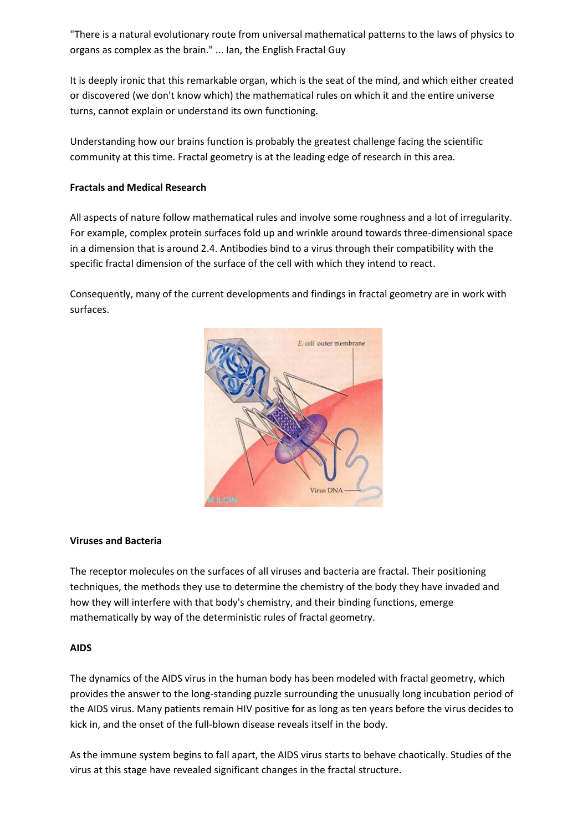"There is a natural evolutionary route from universal mathematical patterns to the laws of physics to organs as complex as the brain." ... Ian, the English Fractal Guy

It is deeply ironic that this remarkable organ, which is the seat of the mind, and which either created or discovered (we don't know which) the mathematical rules on which it and the entire universe turns, cannot explain or understand its own functioning.

Understanding how our brains function is probably the greatest challenge facing the scientific community at this time. Fractal geometry is at the leading edge of research in this area.

## **Fractals and Medical Research**

All aspects of nature follow mathematical rules and involve some roughness and a lot of irregularity. For example, complex protein surfaces fold up and wrinkle around towards three-dimensional space in a dimension that is around 2.4. Antibodies bind to a virus through their compatibility with the specific fractal dimension of the surface of the cell with which they intend to react.

Consequently, many of the current developments and findings in fractal geometry are in work with surfaces.



### **Viruses and Bacteria**

The receptor molecules on the surfaces of all viruses and bacteria are fractal. Their positioning techniques, the methods they use to determine the chemistry of the body they have invaded and how they will interfere with that body's chemistry, and their binding functions, emerge mathematically by way of the deterministic rules of fractal geometry.

### **AIDS**

The dynamics of the AIDS virus in the human body has been modeled with fractal geometry, which provides the answer to the long-standing puzzle surrounding the unusually long incubation period of the AIDS virus. Many patients remain HIV positive for as long as ten years before the virus decides to kick in, and the onset of the full-blown disease reveals itself in the body.

As the immune system begins to fall apart, the AIDS virus starts to behave chaotically. Studies of the virus at this stage have revealed significant changes in the fractal structure.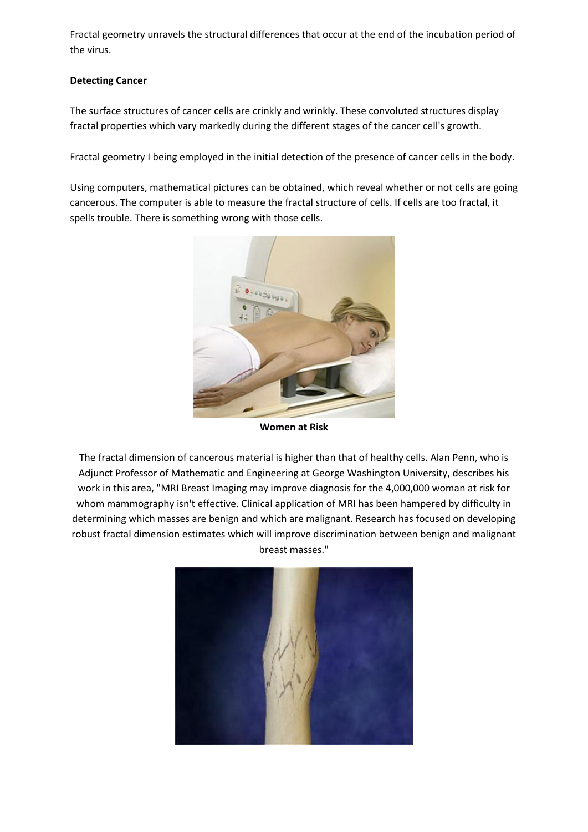Fractal geometry unravels the structural differences that occur at the end of the incubation period of the virus.

## **Detecting Cancer**

The surface structures of cancer cells are crinkly and wrinkly. These convoluted structures display fractal properties which vary markedly during the different stages of the cancer cell's growth.

Fractal geometry I being employed in the initial detection of the presence of cancer cells in the body.

Using computers, mathematical pictures can be obtained, which reveal whether or not cells are going cancerous. The computer is able to measure the fractal structure of cells. If cells are too fractal, it spells trouble. There is something wrong with those cells.



**Women at Risk**

The fractal dimension of cancerous material is higher than that of healthy cells. Alan Penn, who is Adjunct Professor of Mathematic and Engineering at George Washington University, describes his work in this area, "MRI Breast Imaging may improve diagnosis for the 4,000,000 woman at risk for whom mammography isn't effective. Clinical application of MRI has been hampered by difficulty in determining which masses are benign and which are malignant. Research has focused on developing robust fractal dimension estimates which will improve discrimination between benign and malignant breast masses."